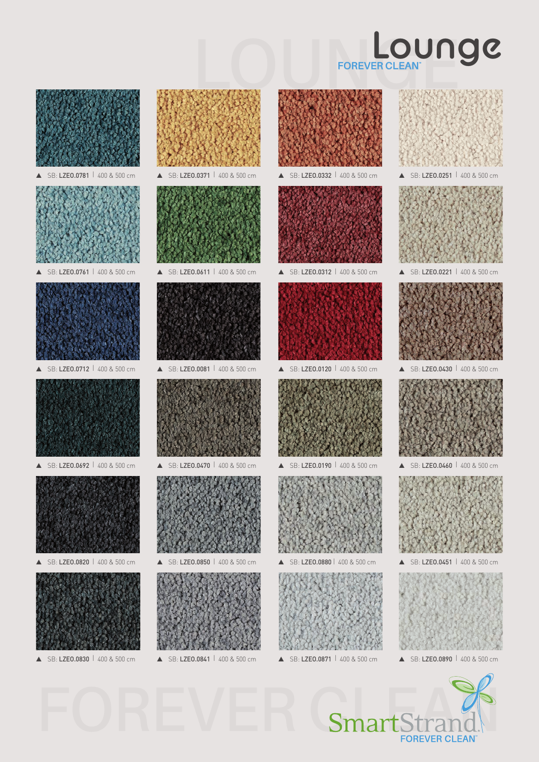## **LOUNGER CLEAN Lounge**



LZE0.0781 400 & 500 cm



SB: LZE0.0761 | 400 & 500 cm





SB: LZEO.0692 | 400 & 500 cm



SB: LZEO.0820 | 400 & 500 cm







 $\triangle$  SB: LZEO.0850  $\angle$  400 & 500 cm



SB: LZEO.0830 | 400 & 500 cm **A** SB: LZEO.0841 | 400 & 500 cm **A** SB: LZEO.0871 | 400 & 500 cm **A** SB: LZEO.0890 | 400 & 500 cm



▲ SB: LZE0.0332 | 400 & 500 cm



SB: LZEO.0312 | 400 & 500 cm SB: LZEO.0221 | 400 & 500 cm



▲ SB: LZEO.0120 | 400 & 500 cm ▲ SB: LZEO.0430 | 400 & 500 cm



▲ SB: LZEO.0190 | 400 & 500 cm



 $I$  ZEO.0880  $I$  400 & 500 cm









▲ SB: LZEO.0460 | 400 & 500 cm



SB: LZEO.0451 | 400 & 500 cm